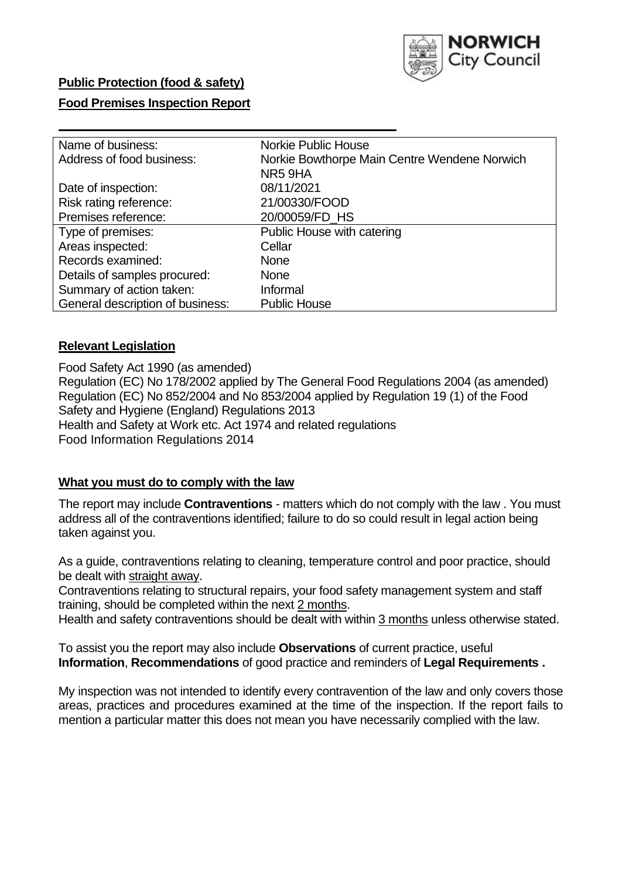

### **Public Protection (food & safety)**

### **Food Premises Inspection Report**

| Name of business:                |                                              |
|----------------------------------|----------------------------------------------|
|                                  | <b>Norkie Public House</b>                   |
| Address of food business:        | Norkie Bowthorpe Main Centre Wendene Norwich |
|                                  | NR59HA                                       |
| Date of inspection:              | 08/11/2021                                   |
| Risk rating reference:           | 21/00330/FOOD                                |
| Premises reference:              | 20/00059/FD_HS                               |
| Type of premises:                | Public House with catering                   |
| Areas inspected:                 | Cellar                                       |
| Records examined:                | None                                         |
| Details of samples procured:     | <b>None</b>                                  |
| Summary of action taken:         | Informal                                     |
| General description of business: | <b>Public House</b>                          |

#### **Relevant Legislation**

 Food Safety Act 1990 (as amended) Regulation (EC) No 178/2002 applied by The General Food Regulations 2004 (as amended) Regulation (EC) No 852/2004 and No 853/2004 applied by Regulation 19 (1) of the Food Safety and Hygiene (England) Regulations 2013 Health and Safety at Work etc. Act 1974 and related regulations Food Information Regulations 2014

### **What you must do to comply with the law**

 The report may include **Contraventions** - matters which do not comply with the law . You must address all of the contraventions identified; failure to do so could result in legal action being taken against you.

 As a guide, contraventions relating to cleaning, temperature control and poor practice, should be dealt with straight away.

 Contraventions relating to structural repairs, your food safety management system and staff training, should be completed within the next 2 months.

Health and safety contraventions should be dealt with within 3 months unless otherwise stated.

 To assist you the report may also include **Observations** of current practice, useful **Information**, **Recommendations** of good practice and reminders of **Legal Requirements .** 

 My inspection was not intended to identify every contravention of the law and only covers those areas, practices and procedures examined at the time of the inspection. If the report fails to mention a particular matter this does not mean you have necessarily complied with the law.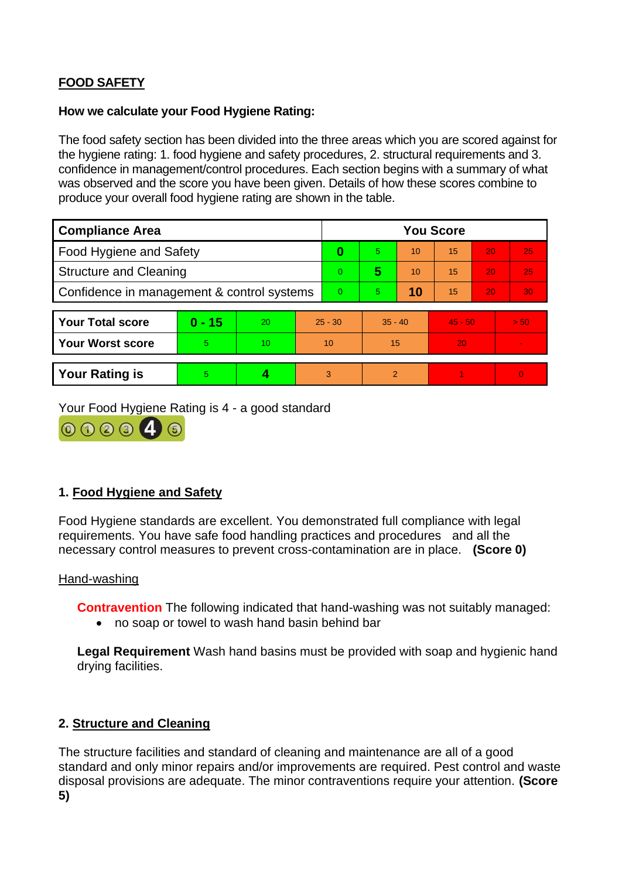# **FOOD SAFETY**

# **How we calculate your Food Hygiene Rating:**

 The food safety section has been divided into the three areas which you are scored against for the hygiene rating: 1. food hygiene and safety procedures, 2. structural requirements and 3. confidence in management/control procedures. Each section begins with a summary of what was observed and the score you have been given. Details of how these scores combine to produce your overall food hygiene rating are shown in the table.

| <b>Compliance Area</b>                     |          |    |           | <b>You Score</b> |                |    |           |    |                |  |  |
|--------------------------------------------|----------|----|-----------|------------------|----------------|----|-----------|----|----------------|--|--|
| Food Hygiene and Safety                    |          |    |           | 0                | 5.             | 10 | 15        | 20 | 25             |  |  |
| <b>Structure and Cleaning</b>              |          |    | $\Omega$  | 5                | 10             | 15 | 20        | 25 |                |  |  |
| Confidence in management & control systems |          |    | $\Omega$  | 5                | 10             | 15 | 20        | 30 |                |  |  |
|                                            |          |    |           |                  |                |    |           |    |                |  |  |
| <b>Your Total score</b>                    | $0 - 15$ | 20 | $25 - 30$ |                  | $35 - 40$      |    | $45 - 50$ |    | > 50           |  |  |
| Your Worst score                           | 5        | 10 | 10        |                  | 15             |    | 20        |    | $\blacksquare$ |  |  |
|                                            |          |    |           |                  |                |    |           |    |                |  |  |
| <b>Your Rating is</b>                      | 5        |    |           | 3                | $\overline{2}$ |    |           |    | $\Omega$       |  |  |

Your Food Hygiene Rating is 4 - a good standard



# **1. Food Hygiene and Safety**

 requirements. You have safe food handling practices and procedures and all the Food Hygiene standards are excellent. You demonstrated full compliance with legal necessary control measures to prevent cross-contamination are in place. **(Score 0)** 

### Hand-washing

**Contravention** The following indicated that hand-washing was not suitably managed:

• no soap or towel to wash hand basin behind bar

 **Legal Requirement** Wash hand basins must be provided with soap and hygienic hand drying facilities.

# **2. Structure and Cleaning**

 The structure facilities and standard of cleaning and maintenance are all of a good standard and only minor repairs and/or improvements are required. Pest control and waste disposal provisions are adequate. The minor contraventions require your attention. **(Score 5)**